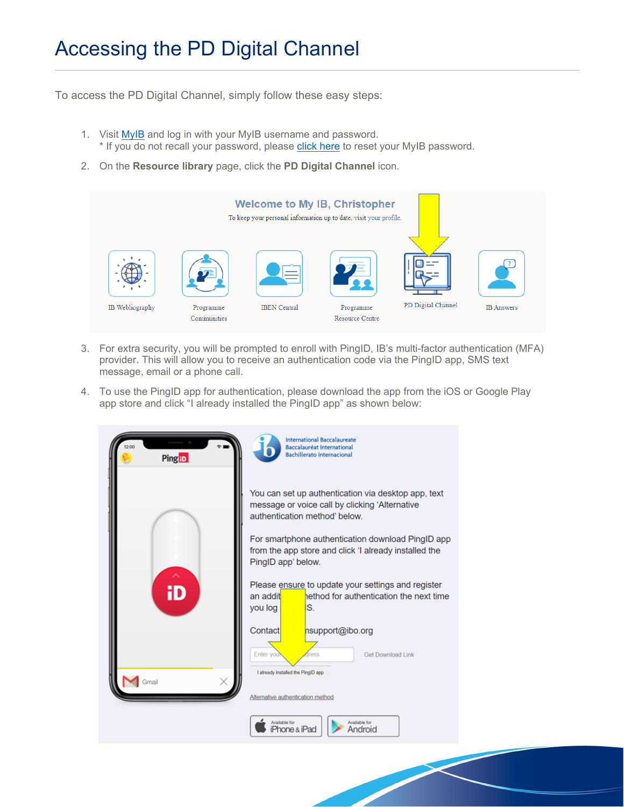## Accessing the PD Digital Channel

To access the PD Digital Channel, simply follow these easy steps:

- 1. Visit [MyIB](https://internationalbaccalaureate.force.com/ibportal/IBPortalLogin?lang=en_US) and log in with your MyIB username and password. \* If you do not recall your password, please [click here](https://internationalbaccalaureate.force.com/ibportal/IBPortalForgotPassword) to reset your MyIB password.
- 2. On the **Resource library** page, click the **PD Digital Channel** icon.



- 3. For extra security, you will be prompted to enroll with PingID, IB's multi-factor authentication (MFA) provider. This will allow you to receive an authentication code via the PingID app, SMS text message, email or a phone call.
- 4. To use the PingID app for authentication, please download the app from the iOS or Google Play app store and click "I already installed the PingID app" as shown below: